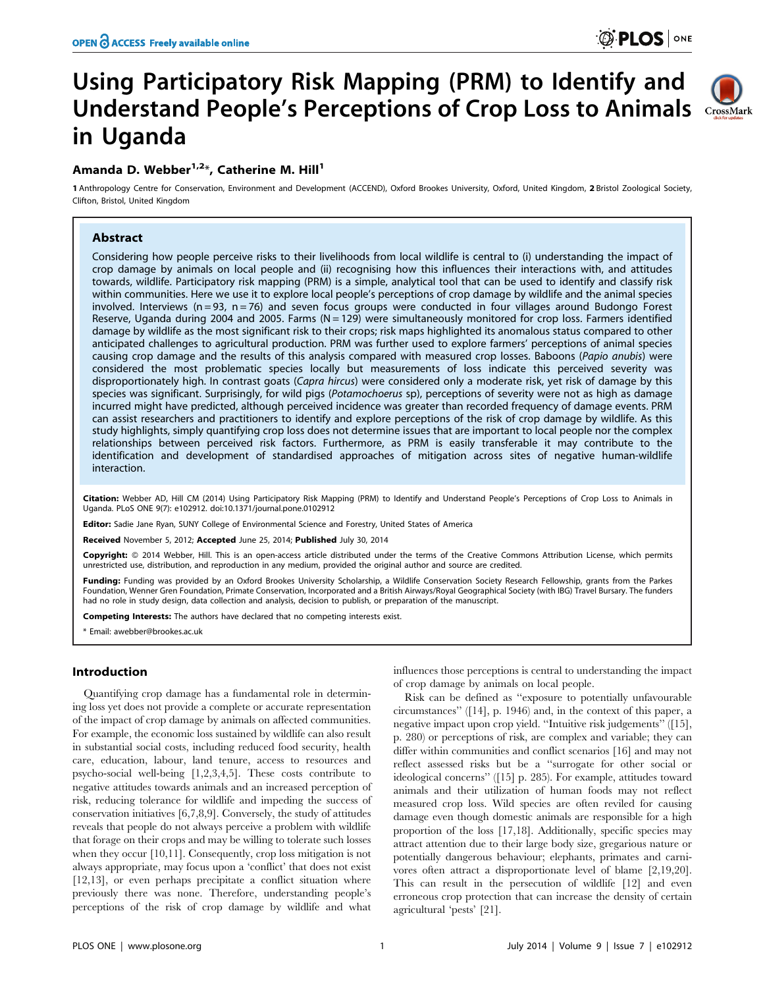## OPEN & ACCESS Freely available online

# Using Participatory Risk Mapping (PRM) to Identify and Understand People's Perceptions of Crop Loss to Animals CrossMark in Uganda



## Amanda D. Webber<sup>1,2\*</sup>, Catherine M. Hill<sup>1</sup>

1 Anthropology Centre for Conservation, Environment and Development (ACCEND), Oxford Brookes University, Oxford, United Kingdom, 2 Bristol Zoological Society, Clifton, Bristol, United Kingdom

## Abstract

Considering how people perceive risks to their livelihoods from local wildlife is central to (i) understanding the impact of crop damage by animals on local people and (ii) recognising how this influences their interactions with, and attitudes towards, wildlife. Participatory risk mapping (PRM) is a simple, analytical tool that can be used to identify and classify risk within communities. Here we use it to explore local people's perceptions of crop damage by wildlife and the animal species involved. Interviews ( $n = 93$ ,  $n = 76$ ) and seven focus groups were conducted in four villages around Budongo Forest Reserve, Uganda during 2004 and 2005. Farms ( $N = 129$ ) were simultaneously monitored for crop loss. Farmers identified damage by wildlife as the most significant risk to their crops; risk maps highlighted its anomalous status compared to other anticipated challenges to agricultural production. PRM was further used to explore farmers' perceptions of animal species causing crop damage and the results of this analysis compared with measured crop losses. Baboons (Papio anubis) were considered the most problematic species locally but measurements of loss indicate this perceived severity was disproportionately high. In contrast goats (Capra hircus) were considered only a moderate risk, yet risk of damage by this species was significant. Surprisingly, for wild pigs (Potamochoerus sp), perceptions of severity were not as high as damage incurred might have predicted, although perceived incidence was greater than recorded frequency of damage events. PRM can assist researchers and practitioners to identify and explore perceptions of the risk of crop damage by wildlife. As this study highlights, simply quantifying crop loss does not determine issues that are important to local people nor the complex relationships between perceived risk factors. Furthermore, as PRM is easily transferable it may contribute to the identification and development of standardised approaches of mitigation across sites of negative human-wildlife interaction.

Citation: Webber AD, Hill CM (2014) Using Participatory Risk Mapping (PRM) to Identify and Understand People's Perceptions of Crop Loss to Animals in Uganda. PLoS ONE 9(7): e102912. doi:10.1371/journal.pone.0102912

**Editor:** Sadie Jane Ryan, SUNY College of Environmental Science and Forestry, United States of America

Received November 5, 2012; Accepted June 25, 2014; Published July 30, 2014

Copyright: © 2014 Webber, Hill. This is an open-access article distributed under the terms of the [Creative Commons Attribution License](http://creativecommons.org/licenses/by/4.0/), which permits unrestricted use, distribution, and reproduction in any medium, provided the original author and source are credited.

Funding: Funding was provided by an Oxford Brookes University Scholarship, a Wildlife Conservation Society Research Fellowship, grants from the Parkes Foundation, Wenner Gren Foundation, Primate Conservation, Incorporated and a British Airways/Royal Geographical Society (with IBG) Travel Bursary. The funders had no role in study design, data collection and analysis, decision to publish, or preparation of the manuscript.

Competing Interests: The authors have declared that no competing interests exist.

\* Email: awebber@brookes.ac.uk

## Introduction

Quantifying crop damage has a fundamental role in determining loss yet does not provide a complete or accurate representation of the impact of crop damage by animals on affected communities. For example, the economic loss sustained by wildlife can also result in substantial social costs, including reduced food security, health care, education, labour, land tenure, access to resources and psycho-social well-being [1,2,3,4,5]. These costs contribute to negative attitudes towards animals and an increased perception of risk, reducing tolerance for wildlife and impeding the success of conservation initiatives [6,7,8,9]. Conversely, the study of attitudes reveals that people do not always perceive a problem with wildlife that forage on their crops and may be willing to tolerate such losses when they occur [10,11]. Consequently, crop loss mitigation is not always appropriate, may focus upon a 'conflict' that does not exist [12,13], or even perhaps precipitate a conflict situation where previously there was none. Therefore, understanding people's perceptions of the risk of crop damage by wildlife and what

influences those perceptions is central to understanding the impact of crop damage by animals on local people.

Risk can be defined as ''exposure to potentially unfavourable circumstances'' ([14], p. 1946) and, in the context of this paper, a negative impact upon crop yield. ''Intuitive risk judgements'' ([15], p. 280) or perceptions of risk, are complex and variable; they can differ within communities and conflict scenarios [16] and may not reflect assessed risks but be a ''surrogate for other social or ideological concerns'' ([15] p. 285). For example, attitudes toward animals and their utilization of human foods may not reflect measured crop loss. Wild species are often reviled for causing damage even though domestic animals are responsible for a high proportion of the loss [17,18]. Additionally, specific species may attract attention due to their large body size, gregarious nature or potentially dangerous behaviour; elephants, primates and carnivores often attract a disproportionate level of blame [2,19,20]. This can result in the persecution of wildlife [12] and even erroneous crop protection that can increase the density of certain agricultural 'pests' [21].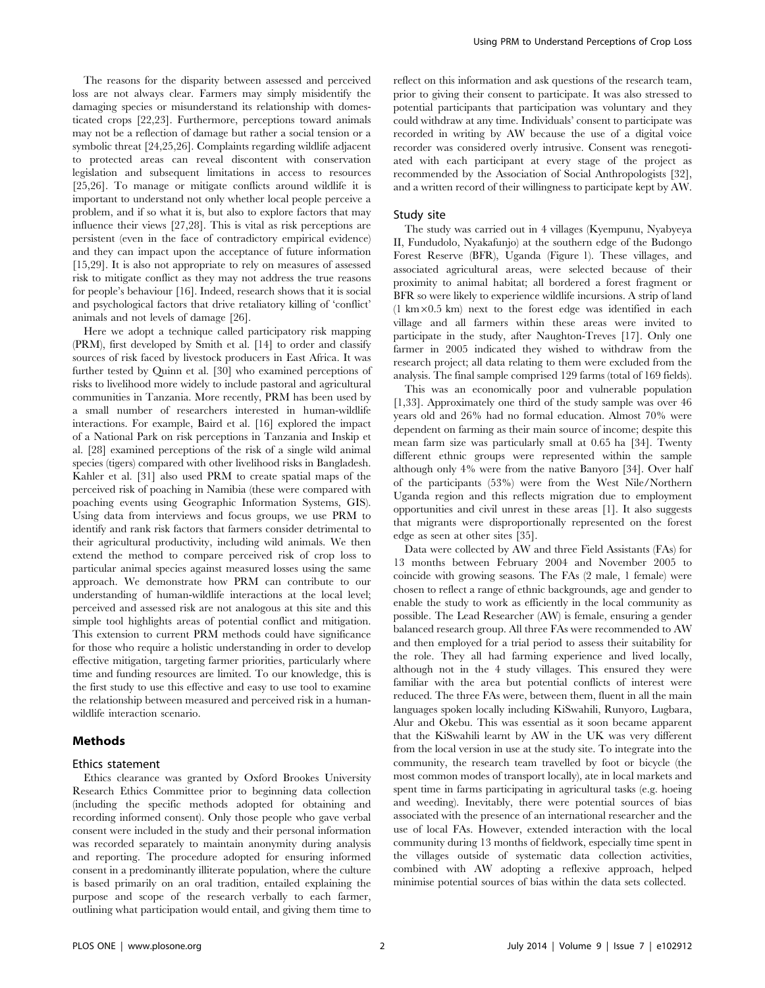The reasons for the disparity between assessed and perceived loss are not always clear. Farmers may simply misidentify the damaging species or misunderstand its relationship with domesticated crops [22,23]. Furthermore, perceptions toward animals may not be a reflection of damage but rather a social tension or a symbolic threat [24,25,26]. Complaints regarding wildlife adjacent to protected areas can reveal discontent with conservation legislation and subsequent limitations in access to resources [25,26]. To manage or mitigate conflicts around wildlife it is important to understand not only whether local people perceive a problem, and if so what it is, but also to explore factors that may influence their views [27,28]. This is vital as risk perceptions are persistent (even in the face of contradictory empirical evidence) and they can impact upon the acceptance of future information [15,29]. It is also not appropriate to rely on measures of assessed risk to mitigate conflict as they may not address the true reasons for people's behaviour [16]. Indeed, research shows that it is social and psychological factors that drive retaliatory killing of 'conflict' animals and not levels of damage [26].

Here we adopt a technique called participatory risk mapping (PRM), first developed by Smith et al. [14] to order and classify sources of risk faced by livestock producers in East Africa. It was further tested by Quinn et al. [30] who examined perceptions of risks to livelihood more widely to include pastoral and agricultural communities in Tanzania. More recently, PRM has been used by a small number of researchers interested in human-wildlife interactions. For example, Baird et al. [16] explored the impact of a National Park on risk perceptions in Tanzania and Inskip et al. [28] examined perceptions of the risk of a single wild animal species (tigers) compared with other livelihood risks in Bangladesh. Kahler et al. [31] also used PRM to create spatial maps of the perceived risk of poaching in Namibia (these were compared with poaching events using Geographic Information Systems, GIS). Using data from interviews and focus groups, we use PRM to identify and rank risk factors that farmers consider detrimental to their agricultural productivity, including wild animals. We then extend the method to compare perceived risk of crop loss to particular animal species against measured losses using the same approach. We demonstrate how PRM can contribute to our understanding of human-wildlife interactions at the local level; perceived and assessed risk are not analogous at this site and this simple tool highlights areas of potential conflict and mitigation. This extension to current PRM methods could have significance for those who require a holistic understanding in order to develop effective mitigation, targeting farmer priorities, particularly where time and funding resources are limited. To our knowledge, this is the first study to use this effective and easy to use tool to examine the relationship between measured and perceived risk in a humanwildlife interaction scenario.

## Methods

#### Ethics statement

Ethics clearance was granted by Oxford Brookes University Research Ethics Committee prior to beginning data collection (including the specific methods adopted for obtaining and recording informed consent). Only those people who gave verbal consent were included in the study and their personal information was recorded separately to maintain anonymity during analysis and reporting. The procedure adopted for ensuring informed consent in a predominantly illiterate population, where the culture is based primarily on an oral tradition, entailed explaining the purpose and scope of the research verbally to each farmer, outlining what participation would entail, and giving them time to reflect on this information and ask questions of the research team, prior to giving their consent to participate. It was also stressed to potential participants that participation was voluntary and they could withdraw at any time. Individuals' consent to participate was recorded in writing by AW because the use of a digital voice recorder was considered overly intrusive. Consent was renegotiated with each participant at every stage of the project as recommended by the Association of Social Anthropologists [32], and a written record of their willingness to participate kept by AW.

#### Study site

The study was carried out in 4 villages (Kyempunu, Nyabyeya II, Fundudolo, Nyakafunjo) at the southern edge of the Budongo Forest Reserve (BFR), Uganda (Figure 1). These villages, and associated agricultural areas, were selected because of their proximity to animal habitat; all bordered a forest fragment or BFR so were likely to experience wildlife incursions. A strip of land  $(1 \text{ km} \times 0.5 \text{ km})$  next to the forest edge was identified in each village and all farmers within these areas were invited to participate in the study, after Naughton-Treves [17]. Only one farmer in 2005 indicated they wished to withdraw from the research project; all data relating to them were excluded from the analysis. The final sample comprised 129 farms (total of 169 fields).

This was an economically poor and vulnerable population [1,33]. Approximately one third of the study sample was over 46 years old and 26% had no formal education. Almost 70% were dependent on farming as their main source of income; despite this mean farm size was particularly small at 0.65 ha [34]. Twenty different ethnic groups were represented within the sample although only 4% were from the native Banyoro [34]. Over half of the participants (53%) were from the West Nile/Northern Uganda region and this reflects migration due to employment opportunities and civil unrest in these areas [1]. It also suggests that migrants were disproportionally represented on the forest edge as seen at other sites [35].

Data were collected by AW and three Field Assistants (FAs) for 13 months between February 2004 and November 2005 to coincide with growing seasons. The FAs (2 male, 1 female) were chosen to reflect a range of ethnic backgrounds, age and gender to enable the study to work as efficiently in the local community as possible. The Lead Researcher (AW) is female, ensuring a gender balanced research group. All three FAs were recommended to AW and then employed for a trial period to assess their suitability for the role. They all had farming experience and lived locally, although not in the 4 study villages. This ensured they were familiar with the area but potential conflicts of interest were reduced. The three FAs were, between them, fluent in all the main languages spoken locally including KiSwahili, Runyoro, Lugbara, Alur and Okebu. This was essential as it soon became apparent that the KiSwahili learnt by AW in the UK was very different from the local version in use at the study site. To integrate into the community, the research team travelled by foot or bicycle (the most common modes of transport locally), ate in local markets and spent time in farms participating in agricultural tasks (e.g. hoeing and weeding). Inevitably, there were potential sources of bias associated with the presence of an international researcher and the use of local FAs. However, extended interaction with the local community during 13 months of fieldwork, especially time spent in the villages outside of systematic data collection activities, combined with AW adopting a reflexive approach, helped minimise potential sources of bias within the data sets collected.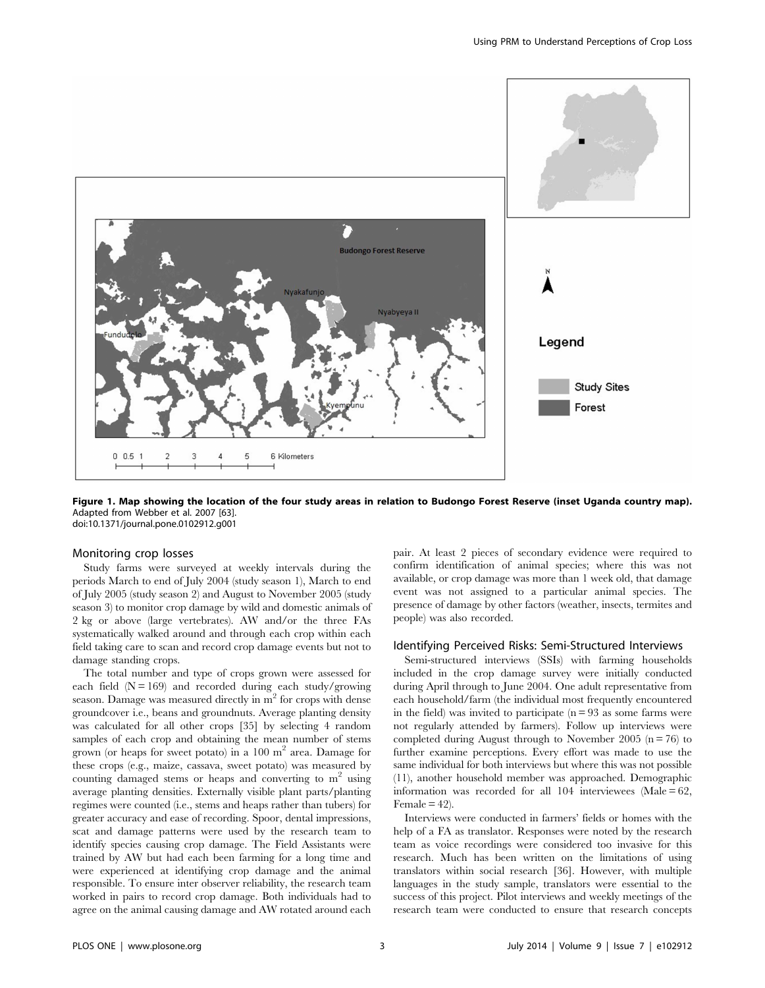

Figure 1. Map showing the location of the four study areas in relation to Budongo Forest Reserve (inset Uganda country map). Adapted from Webber et al. 2007 [63]. doi:10.1371/journal.pone.0102912.g001

### Monitoring crop losses

Study farms were surveyed at weekly intervals during the periods March to end of July 2004 (study season 1), March to end of July 2005 (study season 2) and August to November 2005 (study season 3) to monitor crop damage by wild and domestic animals of 2 kg or above (large vertebrates). AW and/or the three FAs systematically walked around and through each crop within each field taking care to scan and record crop damage events but not to damage standing crops.

The total number and type of crops grown were assessed for each field  $(N = 169)$  and recorded during each study/growing season. Damage was measured directly in  $m<sup>2</sup>$  for crops with dense groundcover i.e., beans and groundnuts. Average planting density was calculated for all other crops [35] by selecting 4 random samples of each crop and obtaining the mean number of stems grown (or heaps for sweet potato) in a  $100 \text{ m}^2$  area. Damage for these crops (e.g., maize, cassava, sweet potato) was measured by counting damaged stems or heaps and converting to  $m<sup>2</sup>$  using average planting densities. Externally visible plant parts/planting regimes were counted (i.e., stems and heaps rather than tubers) for greater accuracy and ease of recording. Spoor, dental impressions, scat and damage patterns were used by the research team to identify species causing crop damage. The Field Assistants were trained by AW but had each been farming for a long time and were experienced at identifying crop damage and the animal responsible. To ensure inter observer reliability, the research team worked in pairs to record crop damage. Both individuals had to agree on the animal causing damage and AW rotated around each pair. At least 2 pieces of secondary evidence were required to confirm identification of animal species; where this was not available, or crop damage was more than 1 week old, that damage event was not assigned to a particular animal species. The presence of damage by other factors (weather, insects, termites and people) was also recorded.

#### Identifying Perceived Risks: Semi-Structured Interviews

Semi-structured interviews (SSIs) with farming households included in the crop damage survey were initially conducted during April through to June 2004. One adult representative from each household/farm (the individual most frequently encountered in the field) was invited to participate  $(n = 93$  as some farms were not regularly attended by farmers). Follow up interviews were completed during August through to November 2005 ( $n = 76$ ) to further examine perceptions. Every effort was made to use the same individual for both interviews but where this was not possible (11), another household member was approached. Demographic information was recorded for all  $104$  interviewees (Male =  $62$ , Female  $= 42$ ).

Interviews were conducted in farmers' fields or homes with the help of a FA as translator. Responses were noted by the research team as voice recordings were considered too invasive for this research. Much has been written on the limitations of using translators within social research [36]. However, with multiple languages in the study sample, translators were essential to the success of this project. Pilot interviews and weekly meetings of the research team were conducted to ensure that research concepts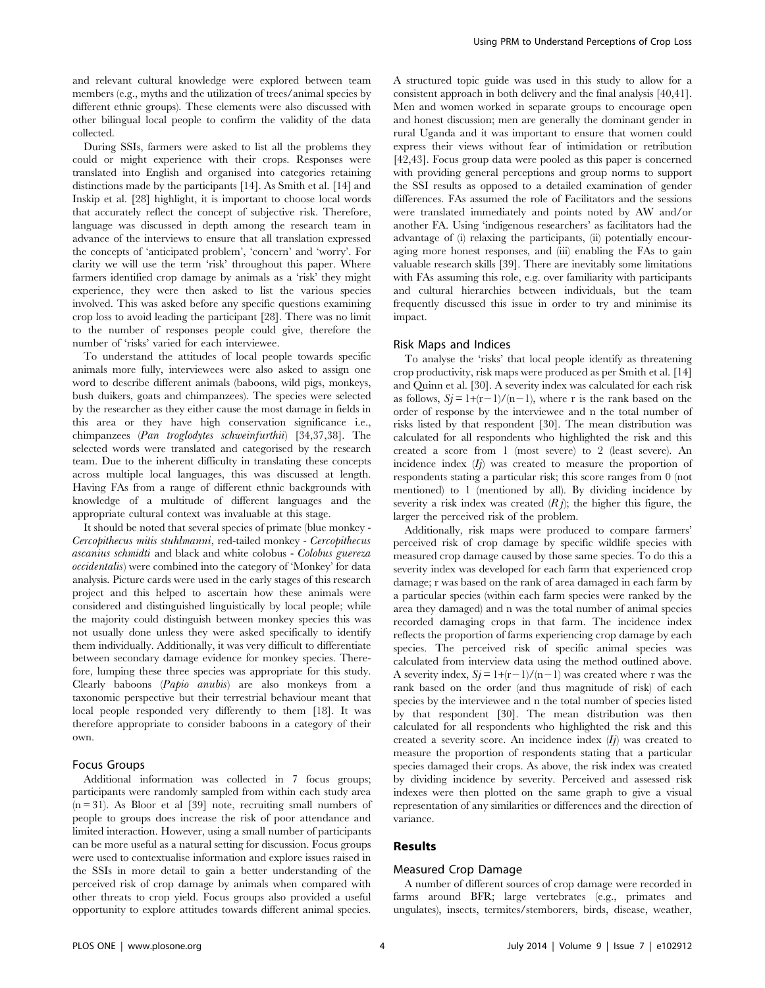and relevant cultural knowledge were explored between team members (e.g., myths and the utilization of trees/animal species by different ethnic groups). These elements were also discussed with other bilingual local people to confirm the validity of the data collected.

During SSIs, farmers were asked to list all the problems they could or might experience with their crops. Responses were translated into English and organised into categories retaining distinctions made by the participants [14]. As Smith et al. [14] and Inskip et al. [28] highlight, it is important to choose local words that accurately reflect the concept of subjective risk. Therefore, language was discussed in depth among the research team in advance of the interviews to ensure that all translation expressed the concepts of 'anticipated problem', 'concern' and 'worry'. For clarity we will use the term 'risk' throughout this paper. Where farmers identified crop damage by animals as a 'risk' they might experience, they were then asked to list the various species involved. This was asked before any specific questions examining crop loss to avoid leading the participant [28]. There was no limit to the number of responses people could give, therefore the number of 'risks' varied for each interviewee.

To understand the attitudes of local people towards specific animals more fully, interviewees were also asked to assign one word to describe different animals (baboons, wild pigs, monkeys, bush duikers, goats and chimpanzees). The species were selected by the researcher as they either cause the most damage in fields in this area or they have high conservation significance i.e., chimpanzees (Pan troglodytes schweinfurthii) [34,37,38]. The selected words were translated and categorised by the research team. Due to the inherent difficulty in translating these concepts across multiple local languages, this was discussed at length. Having FAs from a range of different ethnic backgrounds with knowledge of a multitude of different languages and the appropriate cultural context was invaluable at this stage.

It should be noted that several species of primate (blue monkey - Cercopithecus mitis stuhlmanni, red-tailed monkey - Cercopithecus ascanius schmidti and black and white colobus - Colobus guereza occidentalis) were combined into the category of 'Monkey' for data analysis. Picture cards were used in the early stages of this research project and this helped to ascertain how these animals were considered and distinguished linguistically by local people; while the majority could distinguish between monkey species this was not usually done unless they were asked specifically to identify them individually. Additionally, it was very difficult to differentiate between secondary damage evidence for monkey species. Therefore, lumping these three species was appropriate for this study. Clearly baboons (Papio anubis) are also monkeys from a taxonomic perspective but their terrestrial behaviour meant that local people responded very differently to them [18]. It was therefore appropriate to consider baboons in a category of their own.

## Focus Groups

Additional information was collected in 7 focus groups; participants were randomly sampled from within each study area  $(n=31)$ . As Bloor et al [39] note, recruiting small numbers of people to groups does increase the risk of poor attendance and limited interaction. However, using a small number of participants can be more useful as a natural setting for discussion. Focus groups were used to contextualise information and explore issues raised in the SSIs in more detail to gain a better understanding of the perceived risk of crop damage by animals when compared with other threats to crop yield. Focus groups also provided a useful opportunity to explore attitudes towards different animal species.

A structured topic guide was used in this study to allow for a consistent approach in both delivery and the final analysis [40,41]. Men and women worked in separate groups to encourage open and honest discussion; men are generally the dominant gender in rural Uganda and it was important to ensure that women could express their views without fear of intimidation or retribution [42,43]. Focus group data were pooled as this paper is concerned with providing general perceptions and group norms to support the SSI results as opposed to a detailed examination of gender differences. FAs assumed the role of Facilitators and the sessions were translated immediately and points noted by AW and/or another FA. Using 'indigenous researchers' as facilitators had the advantage of (i) relaxing the participants, (ii) potentially encouraging more honest responses, and (iii) enabling the FAs to gain valuable research skills [39]. There are inevitably some limitations with FAs assuming this role, e.g. over familiarity with participants and cultural hierarchies between individuals, but the team frequently discussed this issue in order to try and minimise its impact.

#### Risk Maps and Indices

To analyse the 'risks' that local people identify as threatening crop productivity, risk maps were produced as per Smith et al. [14] and Quinn et al. [30]. A severity index was calculated for each risk as follows,  $Si = 1+(r-1)/(n-1)$ , where r is the rank based on the order of response by the interviewee and n the total number of risks listed by that respondent [30]. The mean distribution was calculated for all respondents who highlighted the risk and this created a score from 1 (most severe) to 2 (least severe). An incidence index  $(I_j)$  was created to measure the proportion of respondents stating a particular risk; this score ranges from 0 (not mentioned) to 1 (mentioned by all). By dividing incidence by severity a risk index was created  $(R j)$ ; the higher this figure, the larger the perceived risk of the problem.

Additionally, risk maps were produced to compare farmers' perceived risk of crop damage by specific wildlife species with measured crop damage caused by those same species. To do this a severity index was developed for each farm that experienced crop damage; r was based on the rank of area damaged in each farm by a particular species (within each farm species were ranked by the area they damaged) and n was the total number of animal species recorded damaging crops in that farm. The incidence index reflects the proportion of farms experiencing crop damage by each species. The perceived risk of specific animal species was calculated from interview data using the method outlined above. A severity index,  $Sj = 1+(r-1)/(n-1)$  was created where r was the rank based on the order (and thus magnitude of risk) of each species by the interviewee and n the total number of species listed by that respondent [30]. The mean distribution was then calculated for all respondents who highlighted the risk and this created a severity score. An incidence index  $(I<sub>i</sub>)$  was created to measure the proportion of respondents stating that a particular species damaged their crops. As above, the risk index was created by dividing incidence by severity. Perceived and assessed risk indexes were then plotted on the same graph to give a visual representation of any similarities or differences and the direction of variance.

## Results

#### Measured Crop Damage

A number of different sources of crop damage were recorded in farms around BFR; large vertebrates (e.g., primates and ungulates), insects, termites/stemborers, birds, disease, weather,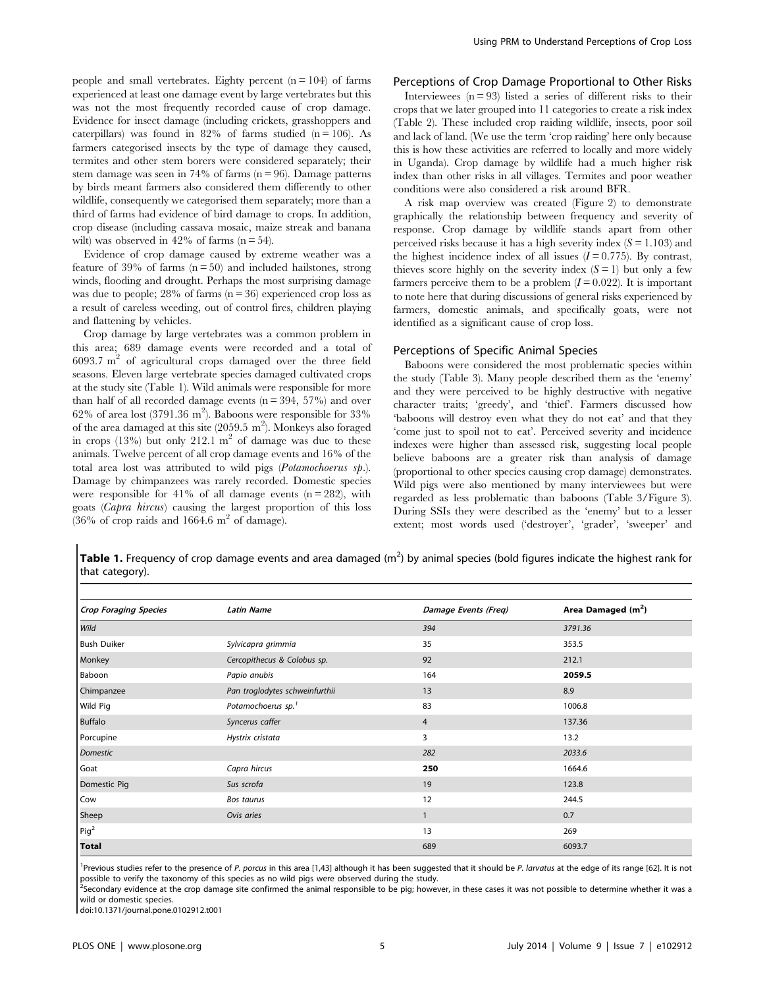people and small vertebrates. Eighty percent  $(n = 104)$  of farms experienced at least one damage event by large vertebrates but this was not the most frequently recorded cause of crop damage. Evidence for insect damage (including crickets, grasshoppers and caterpillars) was found in 82% of farms studied ( $n = 106$ ). As farmers categorised insects by the type of damage they caused, termites and other stem borers were considered separately; their stem damage was seen in 74% of farms  $(n = 96)$ . Damage patterns by birds meant farmers also considered them differently to other wildlife, consequently we categorised them separately; more than a third of farms had evidence of bird damage to crops. In addition, crop disease (including cassava mosaic, maize streak and banana wilt) was observed in  $42\%$  of farms  $(n = 54)$ .

Evidence of crop damage caused by extreme weather was a feature of 39% of farms  $(n = 50)$  and included hailstones, strong winds, flooding and drought. Perhaps the most surprising damage was due to people;  $28\%$  of farms ( $n = 36$ ) experienced crop loss as a result of careless weeding, out of control fires, children playing and flattening by vehicles.

Crop damage by large vertebrates was a common problem in this area; 689 damage events were recorded and a total of  $6093.7 \text{ m}^2$  of agricultural crops damaged over the three field seasons. Eleven large vertebrate species damaged cultivated crops at the study site (Table 1). Wild animals were responsible for more than half of all recorded damage events  $(n = 394, 57%)$  and over 62% of area lost (3791.36 m<sup>2</sup>). Baboons were responsible for 33% of the area damaged at this site (2059.5 m<sup>2</sup>). Monkeys also foraged in crops  $(13\%)$  but only 212.1 m<sup>2</sup> of damage was due to these animals. Twelve percent of all crop damage events and 16% of the total area lost was attributed to wild pigs (Potamochoerus sp.). Damage by chimpanzees was rarely recorded. Domestic species were responsible for 41% of all damage events  $(n = 282)$ , with goats (Capra hircus) causing the largest proportion of this loss  $(36\% \text{ of crop rails and } 1664.6 \text{ m}^2 \text{ of damage}).$ 

## Perceptions of Crop Damage Proportional to Other Risks

Interviewees  $(n = 93)$  listed a series of different risks to their crops that we later grouped into 11 categories to create a risk index (Table 2). These included crop raiding wildlife, insects, poor soil and lack of land. (We use the term 'crop raiding' here only because this is how these activities are referred to locally and more widely in Uganda). Crop damage by wildlife had a much higher risk index than other risks in all villages. Termites and poor weather conditions were also considered a risk around BFR.

A risk map overview was created (Figure 2) to demonstrate graphically the relationship between frequency and severity of response. Crop damage by wildlife stands apart from other perceived risks because it has a high severity index  $(S = 1.103)$  and the highest incidence index of all issues  $(I = 0.775)$ . By contrast, thieves score highly on the severity index  $(S = 1)$  but only a few farmers perceive them to be a problem  $(I= 0.022)$ . It is important to note here that during discussions of general risks experienced by farmers, domestic animals, and specifically goats, were not identified as a significant cause of crop loss.

#### Perceptions of Specific Animal Species

Baboons were considered the most problematic species within the study (Table 3). Many people described them as the 'enemy' and they were perceived to be highly destructive with negative character traits; 'greedy', and 'thief'. Farmers discussed how 'baboons will destroy even what they do not eat' and that they 'come just to spoil not to eat'. Perceived severity and incidence indexes were higher than assessed risk, suggesting local people believe baboons are a greater risk than analysis of damage (proportional to other species causing crop damage) demonstrates. Wild pigs were also mentioned by many interviewees but were regarded as less problematic than baboons (Table 3/Figure 3). During SSIs they were described as the 'enemy' but to a lesser extent; most words used ('destroyer', 'grader', 'sweeper' and

Table 1. Frequency of crop damage events and area damaged  $(m^2)$  by animal species (bold figures indicate the highest rank for that category).

| <b>Crop Foraging Species</b> | <b>Latin Name</b>              | Damage Events (Freq) | Area Damaged $(m2)$ |
|------------------------------|--------------------------------|----------------------|---------------------|
| Wild                         |                                | 394                  | 3791.36             |
| <b>Bush Duiker</b>           | Sylvicapra grimmia             | 35                   | 353.5               |
| Monkey                       | Cercopithecus & Colobus sp.    | 92                   | 212.1               |
| Baboon                       | Papio anubis                   | 164                  | 2059.5              |
| Chimpanzee                   | Pan troglodytes schweinfurthii | 13                   | 8.9                 |
| Wild Pig                     | Potamochoerus sp. <sup>1</sup> | 83                   | 1006.8              |
| <b>Buffalo</b>               | Syncerus caffer                | $\overline{4}$       | 137.36              |
| Porcupine                    | Hystrix cristata               | 3                    | 13.2                |
| Domestic                     |                                | 282                  | 2033.6              |
| Goat                         | Capra hircus                   | 250                  | 1664.6              |
| Domestic Pig                 | Sus scrofa                     | 19                   | 123.8               |
| Cow                          | Bos taurus                     | 12                   | 244.5               |
| Sheep                        | Ovis aries                     | 1                    | 0.7                 |
| Pig <sup>2</sup>             |                                | 13                   | 269                 |
| <b>Total</b>                 |                                | 689                  | 6093.7              |

<sup>1</sup>Previous studies refer to the presence of P. porcus in this area [1,43] although it has been suggested that it should be P. larvatus at the edge of its range [62]. It is not possible to verify the taxonomy of this species as no wild pigs were observed during the study.

<sup>2</sup>Secondary evidence at the crop damage site confirmed the animal responsible to be pig; however, in these cases it was not possible to determine whether it was a wild or domestic species.

doi:10.1371/journal.pone.0102912.t001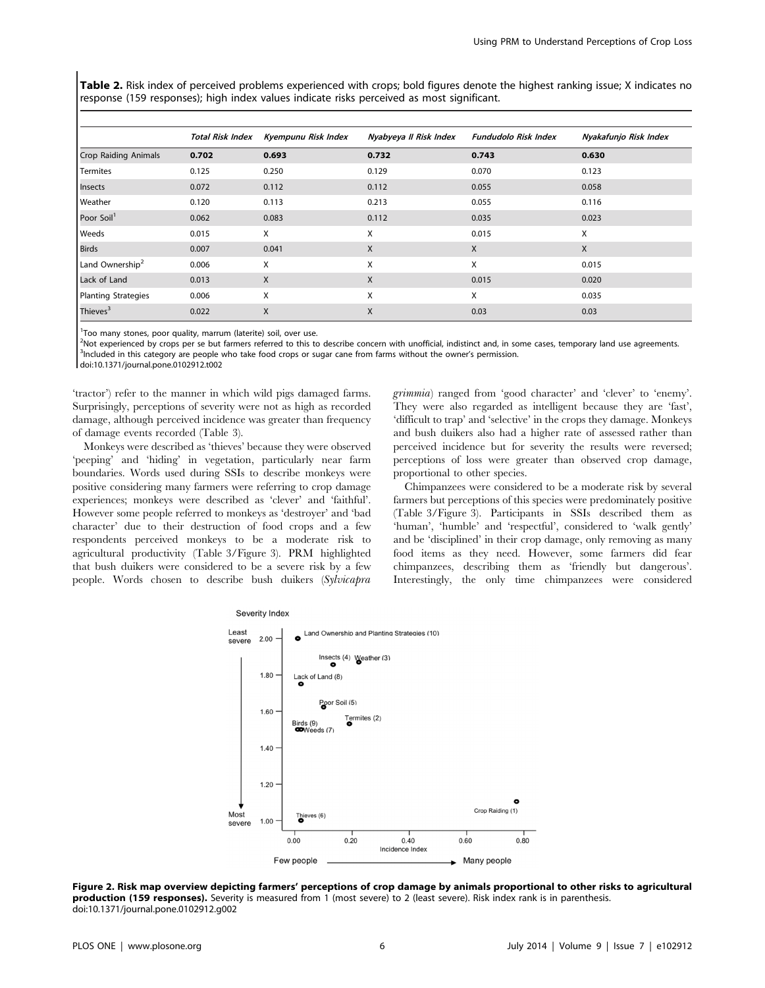Table 2. Risk index of perceived problems experienced with crops; bold figures denote the highest ranking issue; X indicates no response (159 responses); high index values indicate risks perceived as most significant.

|                             | <b>Total Risk Index</b> | Kyempunu Risk Index | Nyabyeya II Risk Index | <b>Fundudolo Risk Index</b> | Nyakafunjo Risk Index |
|-----------------------------|-------------------------|---------------------|------------------------|-----------------------------|-----------------------|
| <b>Crop Raiding Animals</b> | 0.702                   | 0.693               | 0.732                  | 0.743                       | 0.630                 |
| Termites                    | 0.125                   | 0.250               | 0.129                  | 0.070                       | 0.123                 |
| Insects                     | 0.072                   | 0.112               | 0.112                  | 0.055                       | 0.058                 |
| Weather                     | 0.120                   | 0.113               | 0.213                  | 0.055                       | 0.116                 |
| Poor Soil <sup>1</sup>      | 0.062                   | 0.083               | 0.112                  | 0.035                       | 0.023                 |
| Weeds                       | 0.015                   | X                   | X                      | 0.015                       | X                     |
| <b>Birds</b>                | 0.007                   | 0.041               | X                      | X                           | X                     |
| Land Ownership <sup>2</sup> | 0.006                   | X                   | X                      | Χ                           | 0.015                 |
| Lack of Land                | 0.013                   | X                   | X                      | 0.015                       | 0.020                 |
| Planting Strategies         | 0.006                   | X                   | X                      | Χ                           | 0.035                 |
| Thieves <sup>3</sup>        | 0.022                   | X                   | X                      | 0.03                        | 0.03                  |

<sup>1</sup>Too many stones, poor quality, marrum (laterite) soil, over use.

<sup>2</sup>Not experienced by crops per se but farmers referred to this to describe concern with unofficial, indistinct and, in some cases, temporary land use agreements.<br><sup>3</sup>Included in this category are people who take food crops <sup>3</sup>Included in this category are people who take food crops or sugar cane from farms without the owner's permission.

doi:10.1371/journal.pone.0102912.t002

'tractor') refer to the manner in which wild pigs damaged farms. Surprisingly, perceptions of severity were not as high as recorded damage, although perceived incidence was greater than frequency of damage events recorded (Table 3).

Monkeys were described as 'thieves' because they were observed 'peeping' and 'hiding' in vegetation, particularly near farm boundaries. Words used during SSIs to describe monkeys were positive considering many farmers were referring to crop damage experiences; monkeys were described as 'clever' and 'faithful'. However some people referred to monkeys as 'destroyer' and 'bad character' due to their destruction of food crops and a few respondents perceived monkeys to be a moderate risk to agricultural productivity (Table 3/Figure 3). PRM highlighted that bush duikers were considered to be a severe risk by a few people. Words chosen to describe bush duikers (Sylvicapra

grimmia) ranged from 'good character' and 'clever' to 'enemy'. They were also regarded as intelligent because they are 'fast', 'difficult to trap' and 'selective' in the crops they damage. Monkeys and bush duikers also had a higher rate of assessed rather than perceived incidence but for severity the results were reversed; perceptions of loss were greater than observed crop damage, proportional to other species.

Chimpanzees were considered to be a moderate risk by several farmers but perceptions of this species were predominately positive (Table 3/Figure 3). Participants in SSIs described them as 'human', 'humble' and 'respectful', considered to 'walk gently' and be 'disciplined' in their crop damage, only removing as many food items as they need. However, some farmers did fear chimpanzees, describing them as 'friendly but dangerous'. Interestingly, the only time chimpanzees were considered



Figure 2. Risk map overview depicting farmers' perceptions of crop damage by animals proportional to other risks to agricultural production (159 responses). Severity is measured from 1 (most severe) to 2 (least severe). Risk index rank is in parenthesis. doi:10.1371/journal.pone.0102912.g002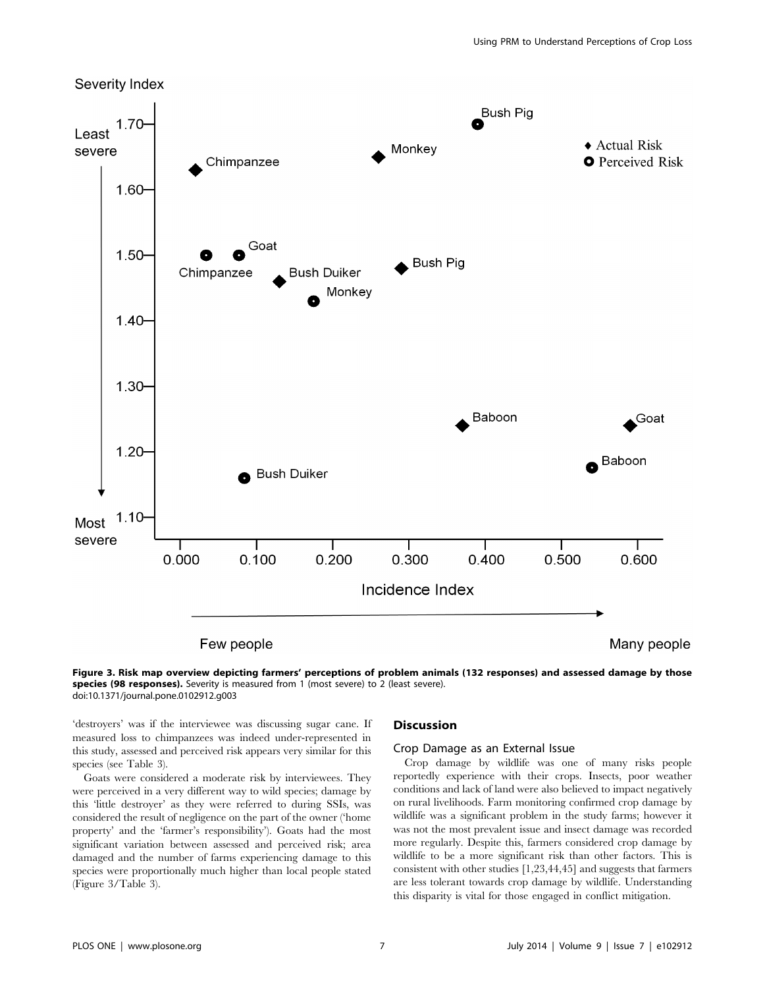



'destroyers' was if the interviewee was discussing sugar cane. If measured loss to chimpanzees was indeed under-represented in this study, assessed and perceived risk appears very similar for this species (see Table 3).

Goats were considered a moderate risk by interviewees. They were perceived in a very different way to wild species; damage by this 'little destroyer' as they were referred to during SSIs, was considered the result of negligence on the part of the owner ('home property' and the 'farmer's responsibility'). Goats had the most significant variation between assessed and perceived risk; area damaged and the number of farms experiencing damage to this species were proportionally much higher than local people stated (Figure 3/Table 3).

## **Discussion**

### Crop Damage as an External Issue

Crop damage by wildlife was one of many risks people reportedly experience with their crops. Insects, poor weather conditions and lack of land were also believed to impact negatively on rural livelihoods. Farm monitoring confirmed crop damage by wildlife was a significant problem in the study farms; however it was not the most prevalent issue and insect damage was recorded more regularly. Despite this, farmers considered crop damage by wildlife to be a more significant risk than other factors. This is consistent with other studies [1,23,44,45] and suggests that farmers are less tolerant towards crop damage by wildlife. Understanding this disparity is vital for those engaged in conflict mitigation.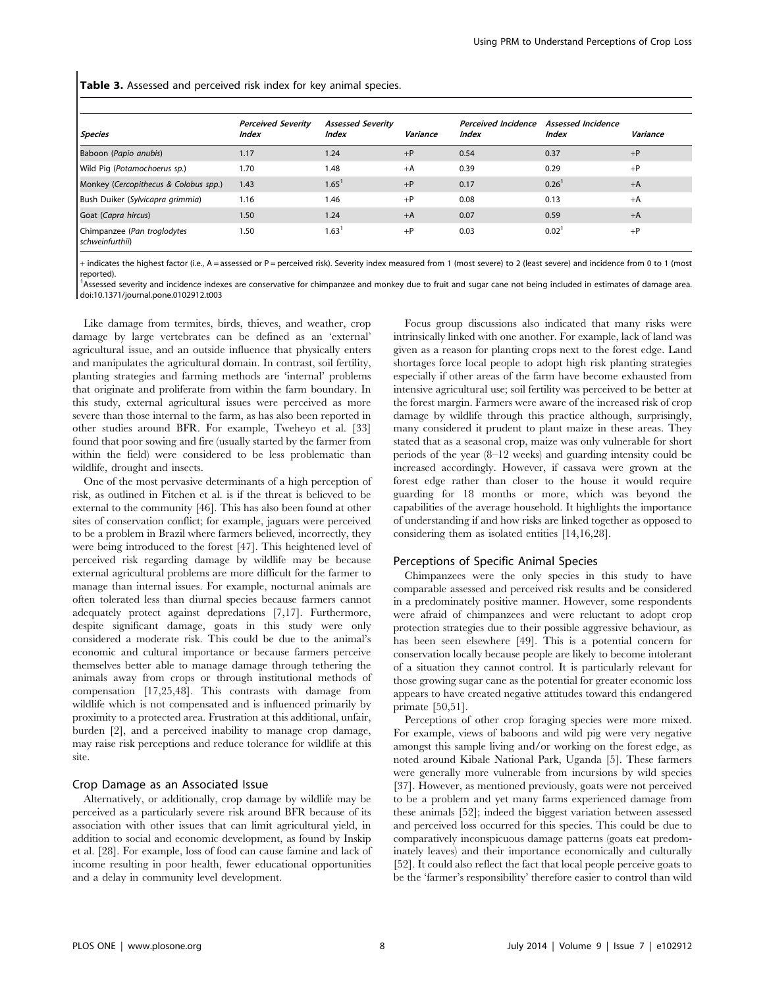Table 3. Assessed and perceived risk index for key animal species.

| <b>Species</b>                                 | <b>Perceived Severity</b><br><b>Index</b> | <b>Assessed Severity</b><br><b>Index</b> | Variance | <b>Perceived Incidence</b><br><i><b>Index</b></i> | <b>Assessed Incidence</b><br><i><b>Index</b></i> | Variance |
|------------------------------------------------|-------------------------------------------|------------------------------------------|----------|---------------------------------------------------|--------------------------------------------------|----------|
| Baboon (Papio anubis)                          | 1.17                                      | 1.24                                     | $+P$     | 0.54                                              | 0.37                                             | $+P$     |
| Wild Pig (Potamochoerus sp.)                   | 1.70                                      | 1.48                                     | $+A$     | 0.39                                              | 0.29                                             | $+P$     |
| Monkey (Cercopithecus & Colobus spp.)          | 1.43                                      | 1.65 <sup>1</sup>                        | $+P$     | 0.17                                              | 0.26 <sup>1</sup>                                | $+A$     |
| Bush Duiker (Sylvicapra grimmia)               | 1.16                                      | 1.46                                     | $+P$     | 0.08                                              | 0.13                                             | $+A$     |
| Goat (Capra hircus)                            | 1.50                                      | 1.24                                     | $+A$     | 0.07                                              | 0.59                                             | $+A$     |
| Chimpanzee (Pan troglodytes<br>schweinfurthii) | 1.50                                      | 1.63 <sup>1</sup>                        | $+P$     | 0.03                                              | $0.02^{\circ}$                                   | $+P$     |

+ indicates the highest factor (i.e., A = assessed or P = perceived risk). Severity index measured from 1 (most severe) to 2 (least severe) and incidence from 0 to 1 (most reported).

<sup>1</sup>Assessed severity and incidence indexes are conservative for chimpanzee and monkey due to fruit and sugar cane not being included in estimates of damage area. doi:10.1371/journal.pone.0102912.t003

Like damage from termites, birds, thieves, and weather, crop damage by large vertebrates can be defined as an 'external' agricultural issue, and an outside influence that physically enters and manipulates the agricultural domain. In contrast, soil fertility, planting strategies and farming methods are 'internal' problems that originate and proliferate from within the farm boundary. In this study, external agricultural issues were perceived as more severe than those internal to the farm, as has also been reported in other studies around BFR. For example, Tweheyo et al. [33] found that poor sowing and fire (usually started by the farmer from within the field) were considered to be less problematic than wildlife, drought and insects.

One of the most pervasive determinants of a high perception of risk, as outlined in Fitchen et al. is if the threat is believed to be external to the community [46]. This has also been found at other sites of conservation conflict; for example, jaguars were perceived to be a problem in Brazil where farmers believed, incorrectly, they were being introduced to the forest [47]. This heightened level of perceived risk regarding damage by wildlife may be because external agricultural problems are more difficult for the farmer to manage than internal issues. For example, nocturnal animals are often tolerated less than diurnal species because farmers cannot adequately protect against depredations [7,17]. Furthermore, despite significant damage, goats in this study were only considered a moderate risk. This could be due to the animal's economic and cultural importance or because farmers perceive themselves better able to manage damage through tethering the animals away from crops or through institutional methods of compensation [17,25,48]. This contrasts with damage from wildlife which is not compensated and is influenced primarily by proximity to a protected area. Frustration at this additional, unfair, burden [2], and a perceived inability to manage crop damage, may raise risk perceptions and reduce tolerance for wildlife at this site.

## Crop Damage as an Associated Issue

Alternatively, or additionally, crop damage by wildlife may be perceived as a particularly severe risk around BFR because of its association with other issues that can limit agricultural yield, in addition to social and economic development, as found by Inskip et al. [28]. For example, loss of food can cause famine and lack of income resulting in poor health, fewer educational opportunities and a delay in community level development.

Focus group discussions also indicated that many risks were intrinsically linked with one another. For example, lack of land was given as a reason for planting crops next to the forest edge. Land shortages force local people to adopt high risk planting strategies especially if other areas of the farm have become exhausted from intensive agricultural use; soil fertility was perceived to be better at the forest margin. Farmers were aware of the increased risk of crop damage by wildlife through this practice although, surprisingly, many considered it prudent to plant maize in these areas. They stated that as a seasonal crop, maize was only vulnerable for short periods of the year (8–12 weeks) and guarding intensity could be increased accordingly. However, if cassava were grown at the forest edge rather than closer to the house it would require guarding for 18 months or more, which was beyond the capabilities of the average household. It highlights the importance of understanding if and how risks are linked together as opposed to considering them as isolated entities [14,16,28].

#### Perceptions of Specific Animal Species

Chimpanzees were the only species in this study to have comparable assessed and perceived risk results and be considered in a predominately positive manner. However, some respondents were afraid of chimpanzees and were reluctant to adopt crop protection strategies due to their possible aggressive behaviour, as has been seen elsewhere [49]. This is a potential concern for conservation locally because people are likely to become intolerant of a situation they cannot control. It is particularly relevant for those growing sugar cane as the potential for greater economic loss appears to have created negative attitudes toward this endangered primate [50,51].

Perceptions of other crop foraging species were more mixed. For example, views of baboons and wild pig were very negative amongst this sample living and/or working on the forest edge, as noted around Kibale National Park, Uganda [5]. These farmers were generally more vulnerable from incursions by wild species [37]. However, as mentioned previously, goats were not perceived to be a problem and yet many farms experienced damage from these animals [52]; indeed the biggest variation between assessed and perceived loss occurred for this species. This could be due to comparatively inconspicuous damage patterns (goats eat predominately leaves) and their importance economically and culturally [52]. It could also reflect the fact that local people perceive goats to be the 'farmer's responsibility' therefore easier to control than wild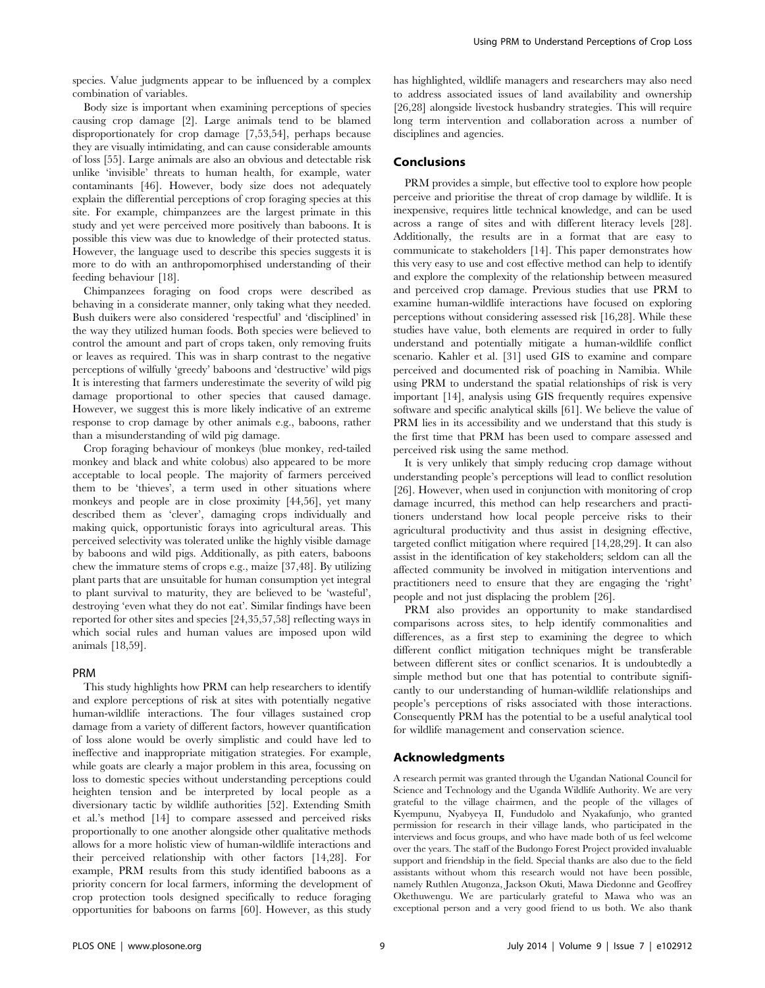species. Value judgments appear to be influenced by a complex combination of variables.

Body size is important when examining perceptions of species causing crop damage [2]. Large animals tend to be blamed disproportionately for crop damage [7,53,54], perhaps because they are visually intimidating, and can cause considerable amounts of loss [55]. Large animals are also an obvious and detectable risk unlike 'invisible' threats to human health, for example, water contaminants [46]. However, body size does not adequately explain the differential perceptions of crop foraging species at this site. For example, chimpanzees are the largest primate in this study and yet were perceived more positively than baboons. It is possible this view was due to knowledge of their protected status. However, the language used to describe this species suggests it is more to do with an anthropomorphised understanding of their feeding behaviour [18].

Chimpanzees foraging on food crops were described as behaving in a considerate manner, only taking what they needed. Bush duikers were also considered 'respectful' and 'disciplined' in the way they utilized human foods. Both species were believed to control the amount and part of crops taken, only removing fruits or leaves as required. This was in sharp contrast to the negative perceptions of wilfully 'greedy' baboons and 'destructive' wild pigs It is interesting that farmers underestimate the severity of wild pig damage proportional to other species that caused damage. However, we suggest this is more likely indicative of an extreme response to crop damage by other animals e.g., baboons, rather than a misunderstanding of wild pig damage.

Crop foraging behaviour of monkeys (blue monkey, red-tailed monkey and black and white colobus) also appeared to be more acceptable to local people. The majority of farmers perceived them to be 'thieves', a term used in other situations where monkeys and people are in close proximity [44,56], yet many described them as 'clever', damaging crops individually and making quick, opportunistic forays into agricultural areas. This perceived selectivity was tolerated unlike the highly visible damage by baboons and wild pigs. Additionally, as pith eaters, baboons chew the immature stems of crops e.g., maize [37,48]. By utilizing plant parts that are unsuitable for human consumption yet integral to plant survival to maturity, they are believed to be 'wasteful', destroying 'even what they do not eat'. Similar findings have been reported for other sites and species [24,35,57,58] reflecting ways in which social rules and human values are imposed upon wild animals [18,59].

#### PRM

This study highlights how PRM can help researchers to identify and explore perceptions of risk at sites with potentially negative human-wildlife interactions. The four villages sustained crop damage from a variety of different factors, however quantification of loss alone would be overly simplistic and could have led to ineffective and inappropriate mitigation strategies. For example, while goats are clearly a major problem in this area, focussing on loss to domestic species without understanding perceptions could heighten tension and be interpreted by local people as a diversionary tactic by wildlife authorities [52]. Extending Smith et al.'s method [14] to compare assessed and perceived risks proportionally to one another alongside other qualitative methods allows for a more holistic view of human-wildlife interactions and their perceived relationship with other factors [14,28]. For example, PRM results from this study identified baboons as a priority concern for local farmers, informing the development of crop protection tools designed specifically to reduce foraging opportunities for baboons on farms [60]. However, as this study

has highlighted, wildlife managers and researchers may also need to address associated issues of land availability and ownership [26,28] alongside livestock husbandry strategies. This will require long term intervention and collaboration across a number of disciplines and agencies.

## Conclusions

PRM provides a simple, but effective tool to explore how people perceive and prioritise the threat of crop damage by wildlife. It is inexpensive, requires little technical knowledge, and can be used across a range of sites and with different literacy levels [28]. Additionally, the results are in a format that are easy to communicate to stakeholders [14]. This paper demonstrates how this very easy to use and cost effective method can help to identify and explore the complexity of the relationship between measured and perceived crop damage. Previous studies that use PRM to examine human-wildlife interactions have focused on exploring perceptions without considering assessed risk [16,28]. While these studies have value, both elements are required in order to fully understand and potentially mitigate a human-wildlife conflict scenario. Kahler et al. [31] used GIS to examine and compare perceived and documented risk of poaching in Namibia. While using PRM to understand the spatial relationships of risk is very important [14], analysis using GIS frequently requires expensive software and specific analytical skills [61]. We believe the value of PRM lies in its accessibility and we understand that this study is the first time that PRM has been used to compare assessed and perceived risk using the same method.

It is very unlikely that simply reducing crop damage without understanding people's perceptions will lead to conflict resolution [26]. However, when used in conjunction with monitoring of crop damage incurred, this method can help researchers and practitioners understand how local people perceive risks to their agricultural productivity and thus assist in designing effective, targeted conflict mitigation where required [14,28,29]. It can also assist in the identification of key stakeholders; seldom can all the affected community be involved in mitigation interventions and practitioners need to ensure that they are engaging the 'right' people and not just displacing the problem [26].

PRM also provides an opportunity to make standardised comparisons across sites, to help identify commonalities and differences, as a first step to examining the degree to which different conflict mitigation techniques might be transferable between different sites or conflict scenarios. It is undoubtedly a simple method but one that has potential to contribute significantly to our understanding of human-wildlife relationships and people's perceptions of risks associated with those interactions. Consequently PRM has the potential to be a useful analytical tool for wildlife management and conservation science.

## Acknowledgments

A research permit was granted through the Ugandan National Council for Science and Technology and the Uganda Wildlife Authority. We are very grateful to the village chairmen, and the people of the villages of Kyempunu, Nyabyeya II, Fundudolo and Nyakafunjo, who granted permission for research in their village lands, who participated in the interviews and focus groups, and who have made both of us feel welcome over the years. The staff of the Budongo Forest Project provided invaluable support and friendship in the field. Special thanks are also due to the field assistants without whom this research would not have been possible, namely Ruthlen Atugonza, Jackson Okuti, Mawa Diedonne and Geoffrey Okethuwengu. We are particularly grateful to Mawa who was an exceptional person and a very good friend to us both. We also thank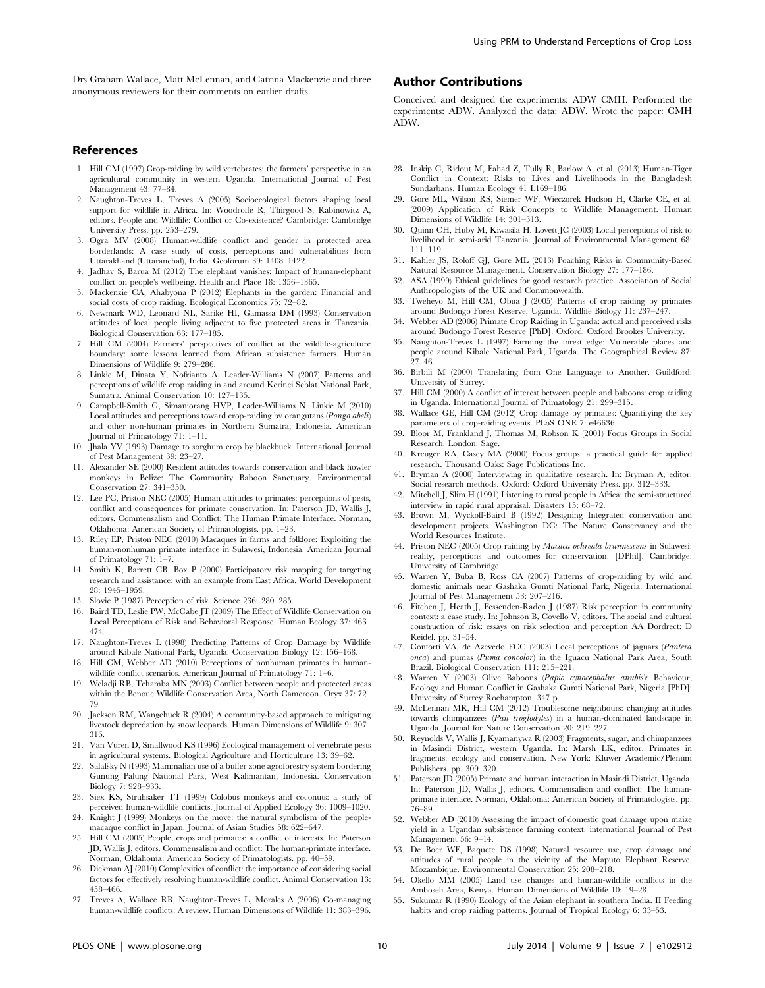Drs Graham Wallace, Matt McLennan, and Catrina Mackenzie and three anonymous reviewers for their comments on earlier drafts.

#### References

- 1. Hill CM (1997) Crop-raiding by wild vertebrates: the farmers' perspective in an agricultural community in western Uganda. International Journal of Pest Management 43: 77–84.
- 2. Naughton-Treves L, Treves A (2005) Socioecological factors shaping local support for wildlife in Africa. In: Woodroffe R, Thirgood S, Rabinowitz A, editors. People and Wildlife: Conflict or Co-existence? Cambridge: Cambridge University Press. pp. 253–279.
- 3. Ogra MV (2008) Human-wildlife conflict and gender in protected area borderlands: A case study of costs, perceptions and vulnerabilities from Uttarakhand (Uttaranchal), India. Geoforum 39: 1408–1422.
- 4. Jadhav S, Barua M (2012) The elephant vanishes: Impact of human-elephant conflict on people's wellbeing. Health and Place 18: 1356–1365.
- 5. Mackenzie CA, Ahabyona P (2012) Elephants in the garden: Financial and social costs of crop raiding. Ecological Economics 75: 72–82.
- 6. Newmark WD, Leonard NL, Sarike HI, Gamassa DM (1993) Conservation attitudes of local people living adjacent to five protected areas in Tanzania. Biological Conservation 63: 177–185.
- 7. Hill CM (2004) Farmers' perspectives of conflict at the wildlife-agriculture boundary: some lessons learned from African subsistence farmers. Human Dimensions of Wildlife 9: 279–286.
- 8. Linkie M, Dinata Y, Nofrianto A, Leader-Williams N (2007) Patterns and perceptions of wildlife crop raiding in and around Kerinci Seblat National Park, Sumatra. Animal Conservation 10: 127–135.
- 9. Campbell-Smith G, Simanjorang HVP, Leader-Williams N, Linkie M (2010) Local attitudes and perceptions toward crop-raiding by orangutans (Pongo abeli) and other non-human primates in Northern Sumatra, Indonesia. American Journal of Primatology 71: 1–11.
- 10. Jhala YV (1993) Damage to sorghum crop by blackbuck. International Journal of Pest Management 39: 23–27.
- 11. Alexander SE (2000) Resident attitudes towards conservation and black howler monkeys in Belize: The Community Baboon Sanctuary. Environmental Conservation 27: 341–350.
- 12. Lee PC, Priston NEC (2005) Human attitudes to primates: perceptions of pests, conflict and consequences for primate conservation. In: Paterson JD, Wallis J, editors. Commensalism and Conflict: The Human Primate Interface. Norman, Oklahoma: American Society of Primatologists. pp. 1–23.
- 13. Riley EP, Priston NEC (2010) Macaques in farms and folklore: Exploiting the human-nonhuman primate interface in Sulawesi, Indonesia. American Journal of Primatology 71: 1–7.
- 14. Smith K, Barrett CB, Box P (2000) Participatory risk mapping for targeting research and assistance: with an example from East Africa. World Development 28: 1945–1959.
- 15. Slovic P (1987) Perception of risk. Science 236: 280–285.
- 16. Baird TD, Leslie PW, McCabe JT (2009) The Effect of Wildlife Conservation on Local Perceptions of Risk and Behavioral Response. Human Ecology 37: 463– 474.
- 17. Naughton-Treves L (1998) Predicting Patterns of Crop Damage by Wildlife around Kibale National Park, Uganda. Conservation Biology 12: 156–168.
- 18. Hill CM, Webber AD (2010) Perceptions of nonhuman primates in humanwildlife conflict scenarios. American Journal of Primatology 71: 1–6.
- 19. Weladji RB, Tchamba MN (2003) Conflict between people and protected areas within the Benoue Wildlife Conservation Area, North Cameroon. Oryx 37: 72– 79
- 20. Jackson RM, Wangchuck R (2004) A community-based approach to mitigating livestock depredation by snow leopards. Human Dimensions of Wildlife 9: 307– 316.
- 21. Van Vuren D, Smallwood KS (1996) Ecological management of vertebrate pests in agricultural systems. Biological Agriculture and Horticulture 13: 39–62.
- 22. Salafsky N (1993) Mammalian use of a buffer zone agroforestry system bordering Gunung Palung National Park, West Kalimantan, Indonesia. Conservation Biology 7: 928–933.
- 23. Siex KS, Struhsaker TT (1999) Colobus monkeys and coconuts: a study of perceived human-wildlife conflicts. Journal of Applied Ecology 36: 1009–1020.
- 24. Knight J (1999) Monkeys on the move: the natural symbolism of the peoplemacaque conflict in Japan. Journal of Asian Studies 58: 622–647.
- 25. Hill CM (2005) People, crops and primates: a conflict of interests. In: Paterson JD, Wallis J, editors. Commensalism and conflict: The human-primate interface. Norman, Oklahoma: American Society of Primatologists. pp. 40–59.
- 26. Dickman AJ (2010) Complexities of conflict: the importance of considering social factors for effectively resolving human-wildlife conflict. Animal Conservation 13: 458–466.
- 27. Treves A, Wallace RB, Naughton-Treves L, Morales A (2006) Co-managing human-wildlife conflicts: A review. Human Dimensions of Wildlife 11: 383–396.

## Author Contributions

Conceived and designed the experiments: ADW CMH. Performed the experiments: ADW. Analyzed the data: ADW. Wrote the paper: CMH ADW.

- 28. Inskip C, Ridout M, Fahad Z, Tully R, Barlow A, et al. (2013) Human-Tiger Conflict in Context: Risks to Lives and Livelihoods in the Bangladesh Sundarbans. Human Ecology 41 L169–186.
- 29. Gore ML, Wilson RS, Siemer WF, Wieczorek Hudson H, Clarke CE, et al. (2009) Application of Risk Concepts to Wildlife Management. Human Dimensions of Wildlife 14: 301–313.
- 30. Quinn CH, Huby M, Kiwasila H, Lovett JC (2003) Local perceptions of risk to livelihood in semi-arid Tanzania. Journal of Environmental Management 68: 111–119.
- 31. Kahler JS, Roloff GJ, Gore ML (2013) Poaching Risks in Community-Based Natural Resource Management. Conservation Biology 27: 177–186.
- 32. ASA (1999) Ethical guidelines for good research practice. Association of Social Anthropologists of the UK and Commonwealth.
- 33. Tweheyo M, Hill CM, Obua J (2005) Patterns of crop raiding by primates around Budongo Forest Reserve, Uganda. Wildlife Biology 11: 237–247.
- 34. Webber AD (2006) Primate Crop Raiding in Uganda: actual and perceived risks around Budongo Forest Reserve [PhD]. Oxford: Oxford Brookes University.
- 35. Naughton-Treves L (1997) Farming the forest edge: Vulnerable places and people around Kibale National Park, Uganda. The Geographical Review 87: 27–46.
- 36. Birbili M (2000) Translating from One Language to Another. Guildford: University of Surrey.
- 37. Hill CM (2000) A conflict of interest between people and baboons: crop raiding in Uganda. International Journal of Primatology 21: 299–315.
- 38. Wallace GE, Hill CM (2012) Crop damage by primates: Quantifying the key parameters of crop-raiding events. PLoS ONE 7: e46636.
- 39. Bloor M, Frankland J, Thomas M, Robson K (2001) Focus Groups in Social Research. London: Sage.
- 40. Kreuger RA, Casey MA (2000) Focus groups: a practical guide for applied research. Thousand Oaks: Sage Publications Inc.
- 41. Bryman A (2000) Interviewing in qualitative research. In: Bryman A, editor. Social research methods. Oxford: Oxford University Press. pp. 312–333.
- 42. Mitchell J, Slim H (1991) Listening to rural people in Africa: the semi-structured interview in rapid rural appraisal. Disasters 15: 68–72.
- 43. Brown M, Wyckoff-Baird B (1992) Designing Integrated conservation and development projects. Washington DC: The Nature Conservancy and the World Resources Institute.
- 44. Priston NEC (2005) Crop raiding by Macaca ochreata brunnescens in Sulawesi: reality, perceptions and outcomes for conservation. [DPhil]. Cambridge: University of Cambridge.
- 45. Warren Y, Buba B, Ross CA (2007) Patterns of crop-raiding by wild and domestic animals near Gashaka Gumti National Park, Nigeria. International Journal of Pest Management 53: 207–216.
- 46. Fitchen J, Heath J, Fessenden-Raden J (1987) Risk perception in community context: a case study. In: Johnson B, Covello V, editors. The social and cultural construction of risk: essays on risk selection and perception AA Dordrect: D Reidel. pp. 31–54.
- 47. Conforti VA, de Azevedo FCC (2003) Local perceptions of jaguars (Pantera onca) and pumas (Puma concolor) in the Iguacu National Park Area, South Brazil. Biological Conservation 111: 215–221.
- 48. Warren Y (2003) Olive Baboons (Papio cynocephalus anubis): Behaviour, Ecology and Human Conflict in Gashaka Gumti National Park, Nigeria [PhD]: University of Surrey Roehampton. 347 p.
- 49. McLennan MR, Hill CM (2012) Troublesome neighbours: changing attitudes towards chimpanzees (Pan troglodytes) in a human-dominated landscape in Uganda. Journal for Nature Conservation 20: 219–227.
- 50. Reynolds V, Wallis J, Kyamanywa R (2003) Fragments, sugar, and chimpanzees in Masindi District, western Uganda. In: Marsh LK, editor. Primates in fragments: ecology and conservation. New York: Kluwer Academic/Plenum Publishers. pp. 309–320.
- 51. Paterson JD (2005) Primate and human interaction in Masindi District, Uganda. In: Paterson JD, Wallis J, editors. Commensalism and conflict: The humanprimate interface. Norman, Oklahoma: American Society of Primatologists. pp. 76–89.
- 52. Webber AD (2010) Assessing the impact of domestic goat damage upon maize yield in a Ugandan subsistence farming context. international Journal of Pest Management 56: 9–14.
- 53. De Boer WF, Baquete DS (1998) Natural resource use, crop damage and attitudes of rural people in the vicinity of the Maputo Elephant Reserve, Mozambique. Environmental Conservation 25: 208–218.
- 54. Okello MM (2005) Land use changes and human-wildlife conflicts in the Amboseli Area, Kenya. Human Dimensions of Wildlife 10: 19–28.
- 55. Sukumar R (1990) Ecology of the Asian elephant in southern India. II Feeding habits and crop raiding patterns. Journal of Tropical Ecology 6: 33–53.